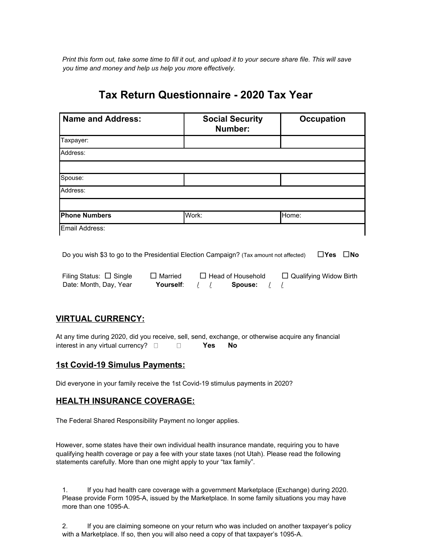Print this form out, take some time to fill it out, and upload it to your secure share file. This will save *you time and money and help us help you more effectively.*

# **Tax Return Questionnaire - 2020 Tax Year**

| <b>Name and Address:</b> | <b>Social Security</b><br>Number: | <b>Occupation</b> |
|--------------------------|-----------------------------------|-------------------|
| Taxpayer:                |                                   |                   |
| Address:                 |                                   |                   |
|                          |                                   |                   |
| Spouse:                  |                                   |                   |
| Address:                 |                                   |                   |
|                          |                                   |                   |
| <b>Phone Numbers</b>     | Work:                             | Home:             |
| Email Address:           |                                   |                   |

Do you wish \$3 to go to the Presidential Election Campaign? (Tax amount not affected) □**Yes** □**No**

Filing Status: □ Single □ Married □ Head of Household □ Qualifying Widow Birth Date: Month, Day, Year **Yourself**: / / **Spouse:** / /

#### **VIRTUAL CURRENCY:**

At any time during 2020, did you receive, sell, send, exchange, or otherwise acquire any financial interest in any virtual currency? **Yes No**

#### **1st Covid-19 Simulus Payments:**

Did everyone in your family receive the 1st Covid-19 stimulus payments in 2020?

#### **HEALTH INSURANCE COVERAGE:**

The Federal Shared Responsibility Payment no longer applies.

However, some states have their own individual health insurance mandate, requiring you to have qualifying health coverage or pay a fee with your state taxes (not Utah). Please read the following statements carefully. More than one might apply to your "tax family".

1. If you had health care coverage with a government Marketplace (Exchange) during 2020. Please provide Form 1095-A, issued by the Marketplace. In some family situations you may have more than one 1095-A.

2. If you are claiming someone on your return who was included on another taxpayer's policy with a Marketplace. If so, then you will also need a copy of that taxpayer's 1095-A.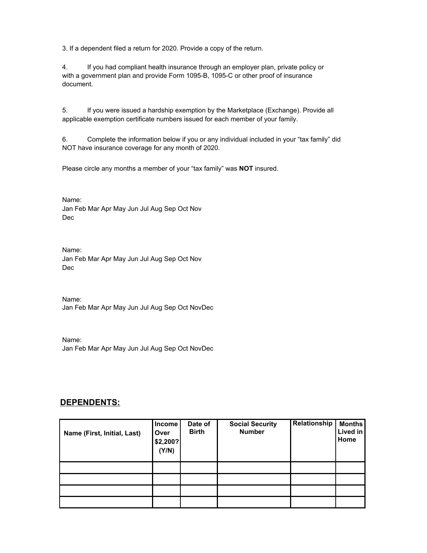3. If a dependent filed a return for 2020. Provide a copy of the return.

4. If you had compliant health insurance through an employer plan, private policy or with a government plan and provide Form 1095-B, 1095-C or other proof of insurance document.

5. If you were issued a hardship exemption by the Marketplace (Exchange). Provide all applicable exemption certificate numbers issued for each member of your family.

6. Complete the information below if you or any individual included in your "tax family" did NOT have insurance coverage for any month of 2020.

Please circle any months a member of your "tax family" was **NOT** insured.

Name: Jan Feb Mar Apr May Jun Jul Aug Sep Oct Nov Dec

Name: Jan Feb Mar Apr May Jun Jul Aug Sep Oct Nov Dec

Name: Jan Feb Mar Apr May Jun Jul Aug Sep Oct NovDec

Name: Jan Feb Mar Apr May Jun Jul Aug Sep Oct NovDec

#### **DEPENDENTS:**

| Name (First, Initial, Last) | <b>Income</b><br>Over<br>\$2,200?<br>(Y/N) | Date of<br><b>Birth</b> | <b>Social Security</b><br><b>Number</b> | Relationship | <b>Months</b><br>Lived in<br>Home |
|-----------------------------|--------------------------------------------|-------------------------|-----------------------------------------|--------------|-----------------------------------|
|                             |                                            |                         |                                         |              |                                   |
|                             |                                            |                         |                                         |              |                                   |
|                             |                                            |                         |                                         |              |                                   |
|                             |                                            |                         |                                         |              |                                   |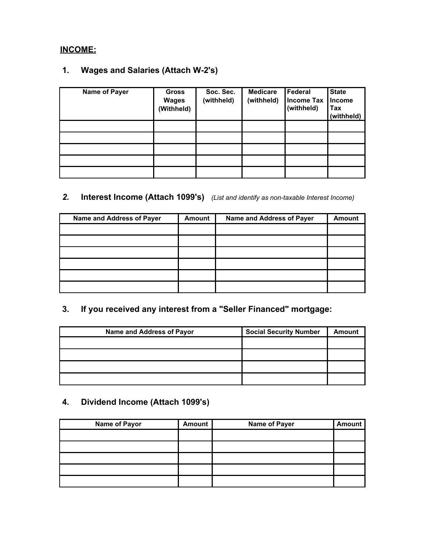## **INCOME:**

## **1. Wages and Salaries (Attach W-2's)**

| Name of Payer | <b>Gross</b><br><b>Wages</b><br>(Withheld) | Soc. Sec.<br>(withheld) | <b>Medicare</b><br>(withheld) | Federal<br><b>Income Tax</b><br>(withheld) | <b>State</b><br>Income<br>Tax<br>(withheld) |
|---------------|--------------------------------------------|-------------------------|-------------------------------|--------------------------------------------|---------------------------------------------|
|               |                                            |                         |                               |                                            |                                             |
|               |                                            |                         |                               |                                            |                                             |
|               |                                            |                         |                               |                                            |                                             |
|               |                                            |                         |                               |                                            |                                             |
|               |                                            |                         |                               |                                            |                                             |

# *2.* **Interest Income (Attach 1099's)** *(List and identify as non-taxable Interest Income)*

| Name and Address of Payer | <b>Amount</b> | Name and Address of Payer | <b>Amount</b> |
|---------------------------|---------------|---------------------------|---------------|
|                           |               |                           |               |
|                           |               |                           |               |
|                           |               |                           |               |
|                           |               |                           |               |
|                           |               |                           |               |
|                           |               |                           |               |

# **3. If you received any interest from a "Seller Financed" mortgage:**

| Name and Address of Payor | <b>Social Security Number</b> | <b>Amount</b> |
|---------------------------|-------------------------------|---------------|
|                           |                               |               |
|                           |                               |               |
|                           |                               |               |
|                           |                               |               |

# **4. Dividend Income (Attach 1099's)**

| <b>Name of Payor</b> | <b>Amount</b> | <b>Name of Payer</b> | <b>Amount</b> |
|----------------------|---------------|----------------------|---------------|
|                      |               |                      |               |
|                      |               |                      |               |
|                      |               |                      |               |
|                      |               |                      |               |
|                      |               |                      |               |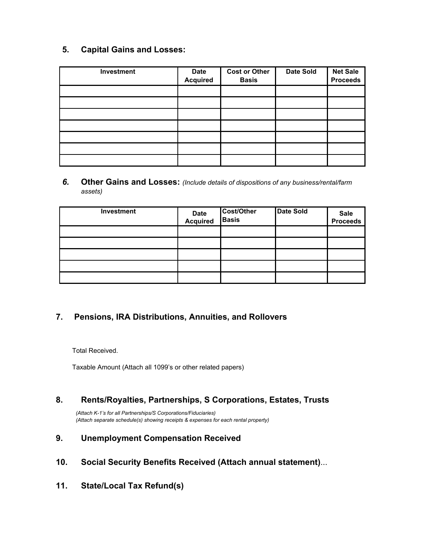#### **5. Capital Gains and Losses:**

| Investment | <b>Date</b><br><b>Acquired</b> | <b>Cost or Other</b><br><b>Basis</b> | <b>Date Sold</b> | <b>Net Sale</b><br><b>Proceeds</b> |
|------------|--------------------------------|--------------------------------------|------------------|------------------------------------|
|            |                                |                                      |                  |                                    |
|            |                                |                                      |                  |                                    |
|            |                                |                                      |                  |                                    |
|            |                                |                                      |                  |                                    |
|            |                                |                                      |                  |                                    |
|            |                                |                                      |                  |                                    |
|            |                                |                                      |                  |                                    |

*6.* **Other Gains and Losses:** *(Include details of dispositions of any business/rental/farm assets)*

| Investment | Date<br>Acquired | Cost/Other<br><b>Basis</b> | <b>Date Sold</b> | Sale<br>Proceeds |
|------------|------------------|----------------------------|------------------|------------------|
|            |                  |                            |                  |                  |
|            |                  |                            |                  |                  |
|            |                  |                            |                  |                  |
|            |                  |                            |                  |                  |
|            |                  |                            |                  |                  |

#### **7. Pensions, IRA Distributions, Annuities, and Rollovers**

Total Received.

Taxable Amount (Attach all 1099's or other related papers)

#### **8. Rents/Royalties, Partnerships, S Corporations, Estates, Trusts**

*(Attach K-1's for all Partnerships/S Corporations/Fiduciaries) (Attach separate schedule(s) showing receipts & expenses for each rental property)*

#### **9. Unemployment Compensation Received**

- **10. Social Security Benefits Received (Attach annual statement)**...
- **11. State/Local Tax Refund(s)**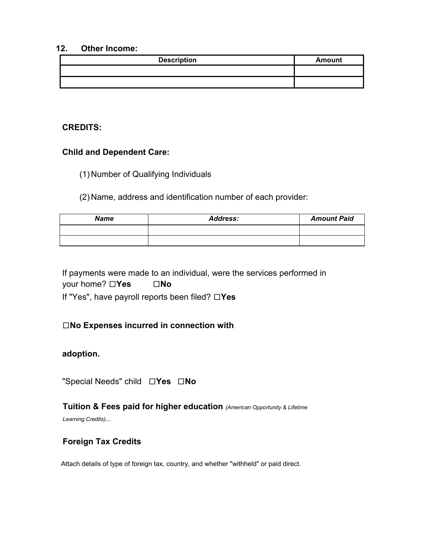#### **12. Other Income:**

| <b>Description</b> | Amount |
|--------------------|--------|
|                    |        |
|                    |        |

#### **CREDITS:**

#### **Child and Dependent Care:**

(1) Number of Qualifying Individuals

(2) Name, address and identification number of each provider:

| <b>Name</b> | <b>Address:</b> | <b>Amount Paid</b> |
|-------------|-----------------|--------------------|
|             |                 |                    |
|             |                 |                    |

If payments were made to an individual, were the services performed in your home? □**Yes** □**No** If "Yes", have payroll reports been filed? □**Yes**

#### □**No Expenses incurred in connection with**

#### **adoption.**

"Special Needs" child □**Yes** □**No**

# **Tuition & Fees paid for higher education** *(American Opportunity & Lifetime*

*Learning Credits)...*

#### **Foreign Tax Credits**

Attach details of type of foreign tax, country, and whether "withheld" or paid direct.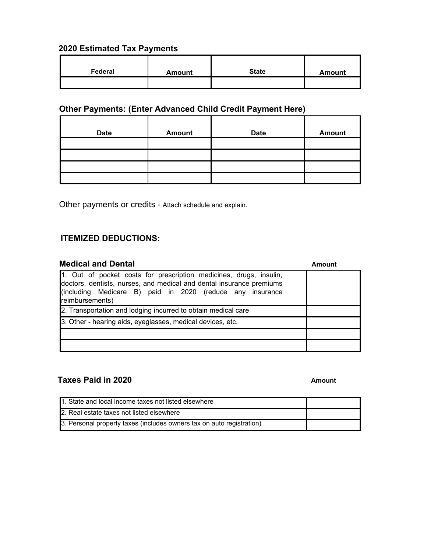#### **2020 Estimated Tax Payments**

| Federal | <b>Amount</b> | <b>State</b> | <b>Amount</b> |
|---------|---------------|--------------|---------------|
|         |               |              |               |

# **Other Payments: (Enter Advanced Child Credit Payment Here)**

| <b>Date</b> | <b>Amount</b> | <b>Date</b> | <b>Amount</b> |
|-------------|---------------|-------------|---------------|
|             |               |             |               |
|             |               |             |               |
|             |               |             |               |
|             |               |             |               |

Other payments or credits - Attach schedule and explain.

#### **ITEMIZED DEDUCTIONS:**

| <b>Medical and Dental</b>                                                                                                                                                                                                  | Amount |
|----------------------------------------------------------------------------------------------------------------------------------------------------------------------------------------------------------------------------|--------|
| 1. Out of pocket costs for prescription medicines, drugs, insulin,<br>doctors, dentists, nurses, and medical and dental insurance premiums<br>(including Medicare B) paid in 2020 (reduce any insurance<br>reimbursements) |        |
| 2. Transportation and lodging incurred to obtain medical care                                                                                                                                                              |        |
| 3. Other - hearing aids, eyeglasses, medical devices, etc.                                                                                                                                                                 |        |
|                                                                                                                                                                                                                            |        |
|                                                                                                                                                                                                                            |        |

### **Taxes Paid in 2020 Amount**

| 1. State and local income taxes not listed elsewhere                  |  |
|-----------------------------------------------------------------------|--|
| 2. Real estate taxes not listed elsewhere                             |  |
| 3. Personal property taxes (includes owners tax on auto registration) |  |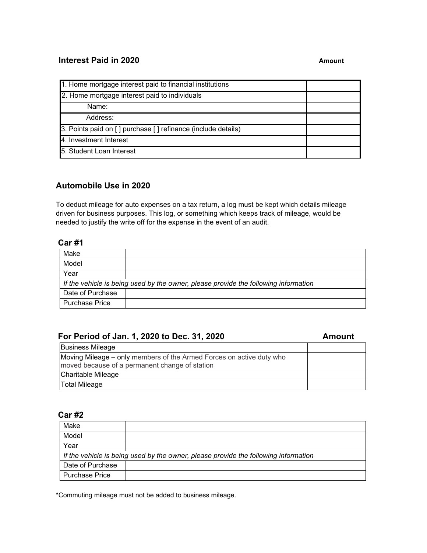#### **Interest Paid in 2020 Amount**

| 1. Home mortgage interest paid to financial institutions     |  |
|--------------------------------------------------------------|--|
| 2. Home mortgage interest paid to individuals                |  |
| Name:                                                        |  |
| Address:                                                     |  |
| 3. Points paid on [] purchase [] refinance (include details) |  |
| 4. Investment Interest                                       |  |
| 15. Student Loan Interest                                    |  |

#### **Automobile Use in 2020**

To deduct mileage for auto expenses on a tax return, a log must be kept which details mileage driven for business purposes. This log, or something which keeps track of mileage, would be needed to justify the write off for the expense in the event of an audit.

#### **Car #1**

| Make                  |                                                                                     |
|-----------------------|-------------------------------------------------------------------------------------|
| Model                 |                                                                                     |
| Year                  |                                                                                     |
|                       | If the vehicle is being used by the owner, please provide the following information |
| Date of Purchase      |                                                                                     |
| <b>Purchase Price</b> |                                                                                     |

#### **For Period of Jan. 1, 2020 to Dec. 31, 2020 Amount**

| <b>Business Mileage</b>                                                                                                |  |
|------------------------------------------------------------------------------------------------------------------------|--|
| Moving Mileage – only members of the Armed Forces on active duty who<br>moved because of a permanent change of station |  |
| Charitable Mileage                                                                                                     |  |
| Total Mileage                                                                                                          |  |

#### **Car #2**

| Make                                                                                |  |  |
|-------------------------------------------------------------------------------------|--|--|
| Model                                                                               |  |  |
| Year                                                                                |  |  |
| If the vehicle is being used by the owner, please provide the following information |  |  |
| Date of Purchase                                                                    |  |  |
| <b>Purchase Price</b>                                                               |  |  |

\*Commuting mileage must not be added to business mileage.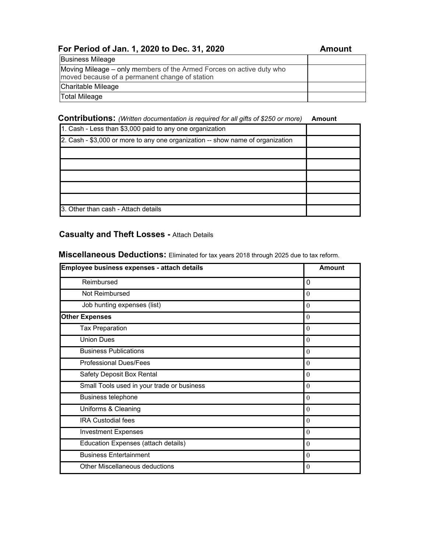# **For Period of Jan. 1, 2020 to Dec. 31, 2020 Amount**

| <b>Business Mileage</b>                                                                                                |  |
|------------------------------------------------------------------------------------------------------------------------|--|
| Moving Mileage – only members of the Armed Forces on active duty who<br>moved because of a permanent change of station |  |
| Charitable Mileage                                                                                                     |  |
| <b>Total Mileage</b>                                                                                                   |  |

#### **Contributions:** *(Written documentation is required for all gifts of \$250 or more)* **Amount**

| 1. Cash - Less than \$3,000 paid to any one organization                       |  |
|--------------------------------------------------------------------------------|--|
| 2. Cash - \$3,000 or more to any one organization -- show name of organization |  |
|                                                                                |  |
|                                                                                |  |
|                                                                                |  |
|                                                                                |  |
|                                                                                |  |
| 3. Other than cash - Attach details                                            |  |

### **Casualty and Theft Losses -** Attach Details

**Miscellaneous Deductions:** Eliminated for tax years 2018 through 2025 due to tax reform.

| Employee business expenses - attach details | Amount   |
|---------------------------------------------|----------|
| Reimbursed                                  | 0        |
| Not Reimbursed                              | $\theta$ |
| Job hunting expenses (list)                 | $\theta$ |
| <b>Other Expenses</b>                       | $\theta$ |
| <b>Tax Preparation</b>                      | $\theta$ |
| <b>Union Dues</b>                           | $\theta$ |
| <b>Business Publications</b>                | $\theta$ |
| <b>Professional Dues/Fees</b>               | $\theta$ |
| Safety Deposit Box Rental                   | $\theta$ |
| Small Tools used in your trade or business  | $\theta$ |
| <b>Business telephone</b>                   | $\theta$ |
| Uniforms & Cleaning                         | $\theta$ |
| <b>IRA Custodial fees</b>                   | $\theta$ |
| <b>Investment Expenses</b>                  | $\theta$ |
| Education Expenses (attach details)         | $\theta$ |
| <b>Business Entertainment</b>               | $\theta$ |
| Other Miscellaneous deductions              | $\theta$ |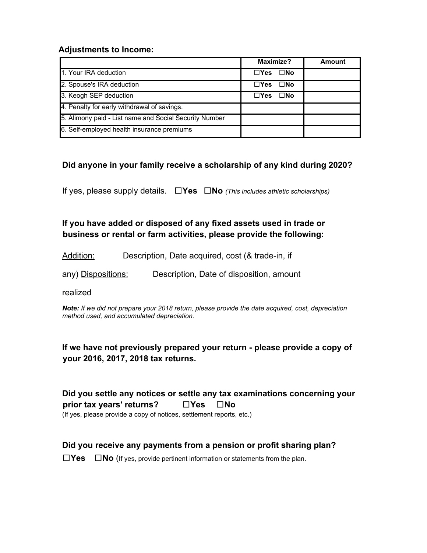#### **Adjustments to Income:**

|                                                        | Maximize?                   | <b>Amount</b> |
|--------------------------------------------------------|-----------------------------|---------------|
| 1. Your IRA deduction                                  | $\square$ No<br>$\Box Y$ es |               |
| 2. Spouse's IRA deduction                              | $\square$ No<br>$\Box Y$ es |               |
| 3. Keogh SEP deduction                                 | $\square$ No<br>$\Box Y$ es |               |
| 4. Penalty for early withdrawal of savings.            |                             |               |
| 5. Alimony paid - List name and Social Security Number |                             |               |
| 6. Self-employed health insurance premiums             |                             |               |

#### **Did anyone in your family receive a scholarship of any kind during 2020?**

If yes, please supply details. □**Yes** □**No** *(This includes athletic scholarships)*

**If you have added or disposed of any fixed assets used in trade or business or rental or farm activities, please provide the following:**

Addition: Description, Date acquired, cost (& trade-in, if

any) Dispositions: Description, Date of disposition, amount

realized

*Note: If we did not prepare your 2018 return, please provide the date acquired, cost, depreciation method used, and accumulated depreciation.*

#### **If we have not previously prepared your return - please provide a copy of your 2016, 2017, 2018 tax returns.**

**Did you settle any notices or settle any tax examinations concerning your prior tax years' returns?** □**Yes** □**No** (If yes, please provide a copy of notices, settlement reports, etc.)

**Did you receive any payments from a pension or profit sharing plan?**

□**Yes** □**No** (If yes, provide pertinent information or statements from the plan.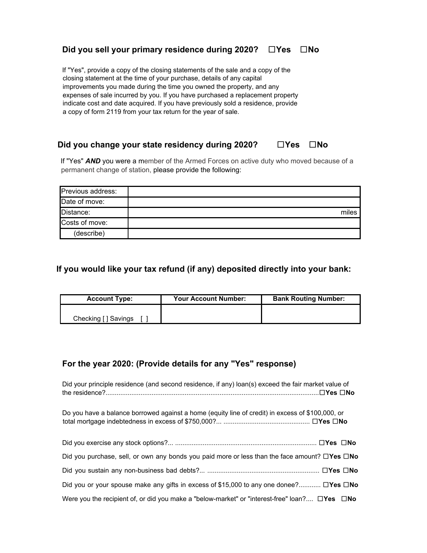#### **Did you sell your primary residence during 2020?** □**Yes** □**No**

If "Yes", provide a copy of the closing statements of the sale and a copy of the closing statement at the time of your purchase, details of any capital improvements you made during the time you owned the property, and any expenses of sale incurred by you. If you have purchased a replacement property indicate cost and date acquired. If you have previously sold a residence, provide a copy of form 2119 from your tax return for the year of sale.

#### **Did you change your state residency during 2020?** □**Yes** □**No**

If "Yes" **AND** you were a member of the Armed Forces on active duty who moved because of a permanent change of station, please provide the following:

| Previous address: |       |
|-------------------|-------|
| Date of move:     |       |
| Distance:         | miles |
| Costs of move:    |       |
| (describe)        |       |

#### **If you would like your tax refund (if any) deposited directly into your bank:**

| <b>Account Type:</b> | <b>Your Account Number:</b> | <b>Bank Routing Number:</b> |
|----------------------|-----------------------------|-----------------------------|
|                      |                             |                             |
| Checking [ ] Savings |                             |                             |

#### **For the year 2020: (Provide details for any "Yes" response)**

| Did your principle residence (and second residence, if any) loan(s) exceed the fair market value of             |
|-----------------------------------------------------------------------------------------------------------------|
| Do you have a balance borrowed against a home (equity line of credit) in excess of \$100,000, or                |
|                                                                                                                 |
| Did you purchase, sell, or own any bonds you paid more or less than the face amount? $\Box$ Yes $\Box$ No       |
|                                                                                                                 |
| Did you or your spouse make any gifts in excess of \$15,000 to any one donee? $\square$ Yes $\square$ No        |
| Were you the recipient of, or did you make a "below-market" or "interest-free" loan? $\square$ Yes $\square$ No |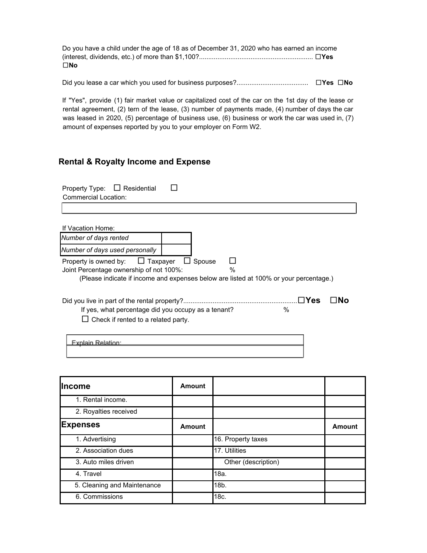Do you have a child under the age of 18 as of December 31, 2020 who has earned an income (interest, dividends, etc.) of more than \$1,100?.............................................................. □**Yes** □**No**

Did you lease a car which you used for business purposes?....................................... □**Yes** □**No**

If "Yes", provide (1) fair market value or capitalized cost of the car on the 1st day of the lease or rental agreement, (2) tern of the lease, (3) number of payments made, (4) number of days the car was leased in 2020, (5) percentage of business use, (6) business or work the car was used in, (7) amount of expenses reported by you to your employer on Form W2.

#### **Rental & Royalty Income and Expense**

| Residential<br>Property Type:<br>Commercial Location:                                             |                                                                                                                  |
|---------------------------------------------------------------------------------------------------|------------------------------------------------------------------------------------------------------------------|
|                                                                                                   |                                                                                                                  |
| If Vacation Home:                                                                                 |                                                                                                                  |
| Number of days rented                                                                             |                                                                                                                  |
| Number of days used personally                                                                    |                                                                                                                  |
| Property is owned by:<br>$\Box$ Taxpayer<br>Joint Percentage ownership of not 100%:               | Spouse<br>$\frac{0}{0}$<br>(Please indicate if income and expenses below are listed at 100% or your percentage.) |
| If yes, what percentage did you occupy as a tenant?<br>$\Box$ Check if rented to a related party. | ΠYes<br>$\frac{0}{0}$                                                                                            |
| Explain Relation:                                                                                 |                                                                                                                  |

| llncome                     | Amount        |                     |               |
|-----------------------------|---------------|---------------------|---------------|
| 1. Rental income.           |               |                     |               |
| 2. Royalties received       |               |                     |               |
| <b>Expenses</b>             | <b>Amount</b> |                     | <b>Amount</b> |
| 1. Advertising              |               | 16. Property taxes  |               |
| 2. Association dues         |               | 17. Utilities       |               |
| 3. Auto miles driven        |               | Other (description) |               |
| 4. Travel                   |               | 18a.                |               |
| 5. Cleaning and Maintenance |               | 18b.                |               |
| 6. Commissions              |               | 18c.                |               |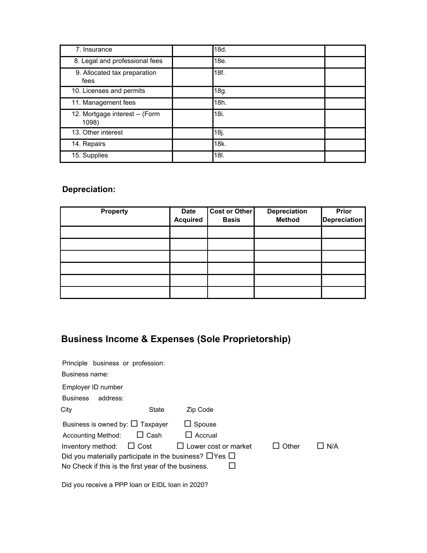| 7. Insurance                            | 18d. |
|-----------------------------------------|------|
| 8. Legal and professional fees          | 18e. |
| 9. Allocated tax preparation<br>fees    | 18f. |
| 10. Licenses and permits                | 18g. |
| 11. Management fees                     | 18h. |
| 12. Mortgage interest -- (Form<br>1098) | 18i. |
| 13. Other interest                      | 18j. |
| 14. Repairs                             | 18k. |
| 15. Supplies                            | 18I. |

# **Depreciation:**

| <b>Property</b> | <b>Date</b><br><b>Acquired</b> | <b>Cost or Other</b><br><b>Basis</b> | Depreciation<br><b>Method</b> | Prior<br><b>Depreciation</b> |
|-----------------|--------------------------------|--------------------------------------|-------------------------------|------------------------------|
|                 |                                |                                      |                               |                              |
|                 |                                |                                      |                               |                              |
|                 |                                |                                      |                               |                              |
|                 |                                |                                      |                               |                              |
|                 |                                |                                      |                               |                              |
|                 |                                |                                      |                               |                              |

# **Business Income & Expenses (Sole Proprietorship)**

| Principle business or profession:                                 |             |                             |       |     |
|-------------------------------------------------------------------|-------------|-----------------------------|-------|-----|
| Business name:                                                    |             |                             |       |     |
| Employer ID number                                                |             |                             |       |     |
| <b>Business</b><br>address:                                       |             |                             |       |     |
| City                                                              | State       | Zip Code                    |       |     |
| Business is owned by: $\Box$ Taxpayer                             |             | $\Box$ Spouse               |       |     |
| <b>Accounting Method:</b>                                         | $\Box$ Cash | $\Box$ Accrual              |       |     |
| Inventory method: $\Box$ Cost                                     |             | $\Box$ Lower cost or market | Other | N/A |
| Did you materially participate in the business? $\Box$ Yes $\Box$ |             |                             |       |     |
| No Check if this is the first year of the business.               |             |                             |       |     |
|                                                                   |             |                             |       |     |

Did you receive a PPP loan or EIDL loan in 2020?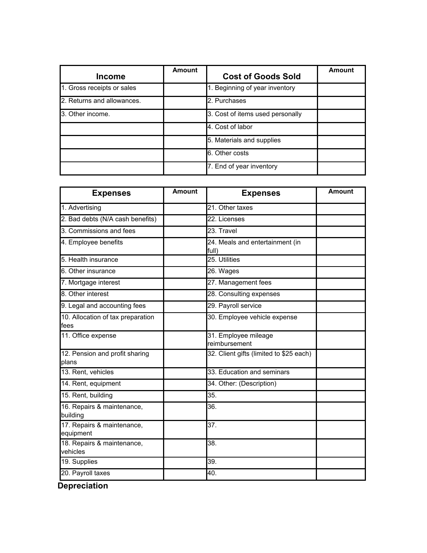| <b>Income</b>              | Amount | <b>Cost of Goods Sold</b>        | Amount |
|----------------------------|--------|----------------------------------|--------|
| 1. Gross receipts or sales |        | 1. Beginning of year inventory   |        |
| 2. Returns and allowances. |        | 2. Purchases                     |        |
| 3. Other income.           |        | 3. Cost of items used personally |        |
|                            |        | 4. Cost of labor                 |        |
|                            |        | 5. Materials and supplies        |        |
|                            |        | 6. Other costs                   |        |
|                            |        | 7. End of year inventory         |        |

| <b>Expenses</b>                           | <b>Amount</b> | <b>Expenses</b>                          | <b>Amount</b> |
|-------------------------------------------|---------------|------------------------------------------|---------------|
| 1. Advertising                            |               | 21. Other taxes                          |               |
| 2. Bad debts (N/A cash benefits)          |               | 22. Licenses                             |               |
| 3. Commissions and fees                   |               | $\overline{23}$ . Travel                 |               |
| 4. Employee benefits                      |               | 24. Meals and entertainment (in<br>full) |               |
| 5. Health insurance                       |               | 25. Utilities                            |               |
| 6. Other insurance                        |               | 26. Wages                                |               |
| 7. Mortgage interest                      |               | 27. Management fees                      |               |
| 8. Other interest                         |               | 28. Consulting expenses                  |               |
| 9. Legal and accounting fees              |               | 29. Payroll service                      |               |
| 10. Allocation of tax preparation<br>fees |               | 30. Employee vehicle expense             |               |
| 11. Office expense                        |               | 31. Employee mileage<br>reimbursement    |               |
| 12. Pension and profit sharing<br>plans   |               | 32. Client gifts (limited to \$25 each)  |               |
| 13. Rent, vehicles                        |               | 33. Education and seminars               |               |
| 14. Rent, equipment                       |               | 34. Other: (Description)                 |               |
| 15. Rent, building                        |               | 35.                                      |               |
| 16. Repairs & maintenance,<br>building    |               | 36.                                      |               |
| 17. Repairs & maintenance,<br>equipment   |               | 37.                                      |               |
| 18. Repairs & maintenance,<br>vehicles    |               | 38.                                      |               |
| 19. Supplies                              |               | 39.                                      |               |
| 20. Payroll taxes                         |               | 40.                                      |               |

**Depreciation**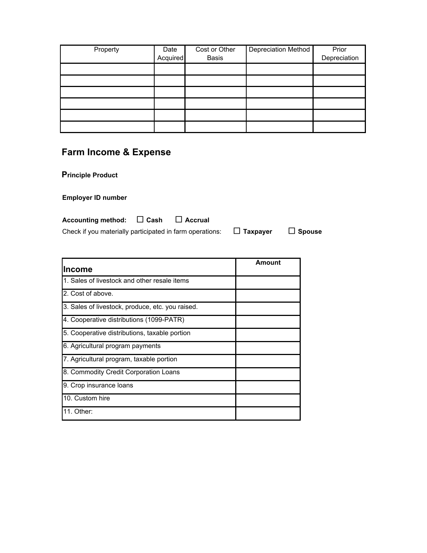| Property | Date<br>Acquired | Cost or Other<br><b>Basis</b> | Depreciation Method | Prior<br>Depreciation |
|----------|------------------|-------------------------------|---------------------|-----------------------|
|          |                  |                               |                     |                       |
|          |                  |                               |                     |                       |
|          |                  |                               |                     |                       |
|          |                  |                               |                     |                       |
|          |                  |                               |                     |                       |
|          |                  |                               |                     |                       |

# **Farm Income & Expense**

**Principle Product**

**Employer ID number**

| Accounting method: $\Box$ Cash                           | $\Box$ Accrual |                 |               |
|----------------------------------------------------------|----------------|-----------------|---------------|
| Check if you materially participated in farm operations: |                | $\Box$ Taxpayer | $\Box$ Spouse |

| lincome                                          | Amount |
|--------------------------------------------------|--------|
| 1. Sales of livestock and other resale items     |        |
| 2. Cost of above.                                |        |
| 3. Sales of livestock, produce, etc. you raised. |        |
| 4. Cooperative distributions (1099-PATR)         |        |
| 5. Cooperative distributions, taxable portion    |        |
| 6. Agricultural program payments                 |        |
| 7. Agricultural program, taxable portion         |        |
| 8. Commodity Credit Corporation Loans            |        |
| 9. Crop insurance loans                          |        |
| 10. Custom hire                                  |        |
| 11. Other:                                       |        |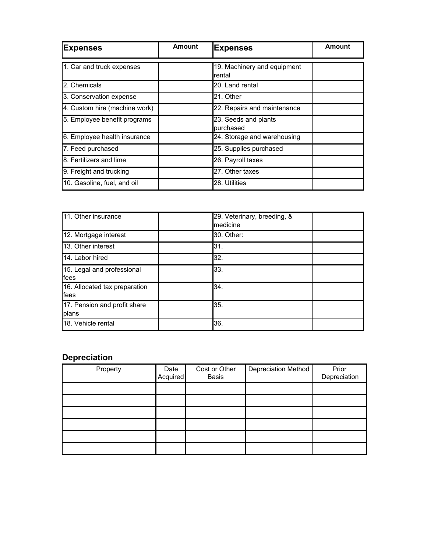| <b>Expenses</b>               | <b>Amount</b> | <b>Expenses</b>                       | Amount |
|-------------------------------|---------------|---------------------------------------|--------|
| 1. Car and truck expenses     |               | 19. Machinery and equipment<br>rental |        |
| 2. Chemicals                  |               | 20. Land rental                       |        |
| 3. Conservation expense       |               | 21. Other                             |        |
| 4. Custom hire (machine work) |               | 22. Repairs and maintenance           |        |
| 5. Employee benefit programs  |               | 23. Seeds and plants<br>purchased     |        |
| 6. Employee health insurance  |               | 24. Storage and warehousing           |        |
| 7. Feed purchased             |               | 25. Supplies purchased                |        |
| 8. Fertilizers and lime       |               | 26. Payroll taxes                     |        |
| 9. Freight and trucking       |               | 27. Other taxes                       |        |
| 10. Gasoline, fuel, and oil   |               | 28. Utilities                         |        |

| 11. Other insurance                   | medicine   | 29. Veterinary, breeding, & |  |
|---------------------------------------|------------|-----------------------------|--|
| 12. Mortgage interest                 | 30. Other: |                             |  |
| 13. Other interest                    | 31.        |                             |  |
| 14. Labor hired                       | 32.        |                             |  |
| 15. Legal and professional<br>fees    | 33.        |                             |  |
| 16. Allocated tax preparation<br>fees | 34.        |                             |  |
| 17. Pension and profit share<br>plans | 35.        |                             |  |
| 18. Vehicle rental                    | 36.        |                             |  |

### **Depreciation**

| Property | Date<br>Acquired | Cost or Other<br><b>Basis</b> | Depreciation Method | Prior<br>Depreciation |
|----------|------------------|-------------------------------|---------------------|-----------------------|
|          |                  |                               |                     |                       |
|          |                  |                               |                     |                       |
|          |                  |                               |                     |                       |
|          |                  |                               |                     |                       |
|          |                  |                               |                     |                       |
|          |                  |                               |                     |                       |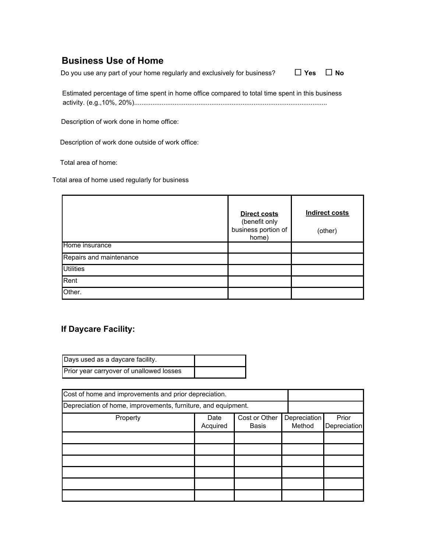# **Business Use of Home**

Do you use any part of your home regularly and exclusively for business?  $\Box$  **Yes**  $\Box$  **No** 

Estimated percentage of time spent in home office compared to total time spent in this business activity. (e.g.,10%, 20%).........................................................................................................

Description of work done in home office:

Description of work done outside of work office:

Total area of home:

Total area of home used regularly for business

|                         | <b>Direct costs</b><br>(benefit only<br>business portion of<br>home) | <b>Indirect costs</b><br>(other) |
|-------------------------|----------------------------------------------------------------------|----------------------------------|
| Home insurance          |                                                                      |                                  |
| Repairs and maintenance |                                                                      |                                  |
| <b>Utilities</b>        |                                                                      |                                  |
| Rent                    |                                                                      |                                  |
| Other.                  |                                                                      |                                  |

### **If Daycare Facility:**

| Days used as a daycare facility.         |  |
|------------------------------------------|--|
| Prior year carryover of unallowed losses |  |

| Cost of home and improvements and prior depreciation.         |                  |                        |                        |                       |
|---------------------------------------------------------------|------------------|------------------------|------------------------|-----------------------|
| Depreciation of home, improvements, furniture, and equipment. |                  |                        |                        |                       |
| Property                                                      | Date<br>Acquired | Cost or Other<br>Basis | Depreciation<br>Method | Prior<br>Depreciation |
|                                                               |                  |                        |                        |                       |
|                                                               |                  |                        |                        |                       |
|                                                               |                  |                        |                        |                       |
|                                                               |                  |                        |                        |                       |
|                                                               |                  |                        |                        |                       |
|                                                               |                  |                        |                        |                       |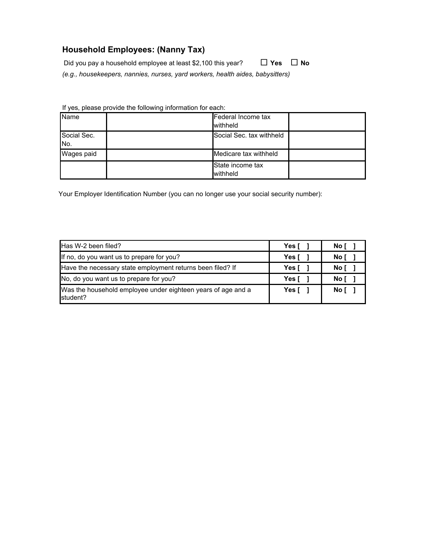### **Household Employees: (Nanny Tax)**

Did you pay a household employee at least \$2,100 this year? □ **Yes** □ **No**

*(e.g., housekeepers, nannies, nurses, yard workers, health aides, babysitters)*

If yes, please provide the following information for each:

| <b>Name</b>                    | Federal Income tax<br>withheld |  |
|--------------------------------|--------------------------------|--|
| Social Sec.<br>IN <sub>o</sub> | Social Sec. tax withheld       |  |
| Wages paid                     | Medicare tax withheld          |  |
|                                | State income tax<br>withheld   |  |

Your Employer Identification Number (you can no longer use your social security number):

| Has W-2 been filed?                                                      | Yes [ | No [ |
|--------------------------------------------------------------------------|-------|------|
| If no, do you want us to prepare for you?                                | Yes [ | No [ |
| Have the necessary state employment returns been filed? If               | Yes l | No I |
| No, do you want us to prepare for you?                                   | Yes [ | No I |
| Was the household employee under eighteen years of age and a<br>student? | Yes [ | No I |